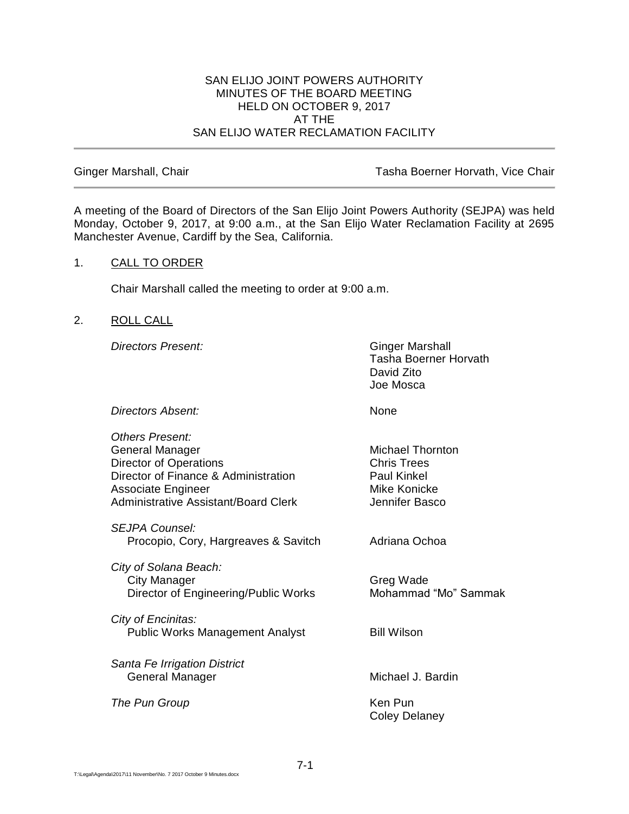### SAN ELIJO JOINT POWERS AUTHORITY MINUTES OF THE BOARD MEETING HELD ON OCTOBER 9, 2017 AT THE SAN ELIJO WATER RECLAMATION FACILITY

Ginger Marshall, Chair **Tasha Boerner Horvath, Vice Chair** Tasha Boerner Horvath, Vice Chair

A meeting of the Board of Directors of the San Elijo Joint Powers Authority (SEJPA) was held Monday, October 9, 2017, at 9:00 a.m., at the San Elijo Water Reclamation Facility at 2695 Manchester Avenue, Cardiff by the Sea, California.

## 1. CALL TO ORDER

Chair Marshall called the meeting to order at 9:00 a.m.

# 2. ROLL CALL

**Directors Present:** Ginger Marshall

Tasha Boerner Horvath David Zito Joe Mosca

*Directors Absent:* None

| <b>Others Present:</b>                      |                         |  |  |  |
|---------------------------------------------|-------------------------|--|--|--|
| General Manager                             | <b>Michael Thornton</b> |  |  |  |
| <b>Director of Operations</b>               | <b>Chris Trees</b>      |  |  |  |
| Director of Finance & Administration        | Paul Kinkel             |  |  |  |
| <b>Associate Engineer</b>                   | Mike Konicke            |  |  |  |
| <b>Administrative Assistant/Board Clerk</b> | Jennifer Basco          |  |  |  |
| <b>SEJPA Counsel:</b>                       |                         |  |  |  |
| Procopio, Cory, Hargreaves & Savitch        | Adriana Ochoa           |  |  |  |
| City of Solana Beach:                       |                         |  |  |  |
| <b>City Manager</b>                         | Greg Wade               |  |  |  |
| Director of Engineering/Public Works        | Mohammad "Mo" Sammak    |  |  |  |
| City of Encinitas:                          |                         |  |  |  |
| <b>Public Works Management Analyst</b>      | <b>Bill Wilson</b>      |  |  |  |
| Santa Fe Irrigation District                |                         |  |  |  |
| General Manager                             | Michael J. Bardin       |  |  |  |
|                                             |                         |  |  |  |
| The Pun Group                               | Ken Pun                 |  |  |  |
|                                             | Coley Delaney           |  |  |  |
|                                             |                         |  |  |  |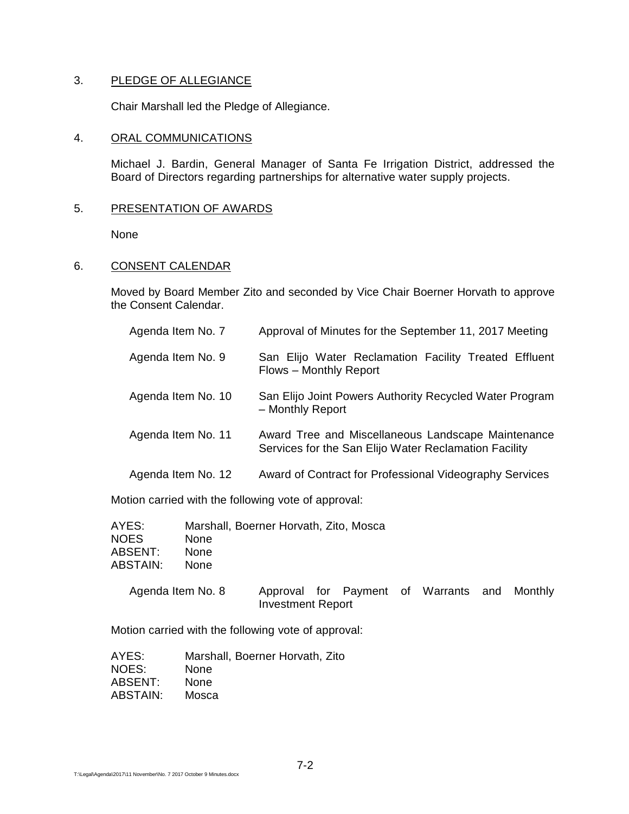# 3. PLEDGE OF ALLEGIANCE

Chair Marshall led the Pledge of Allegiance.

### 4. ORAL COMMUNICATIONS

Michael J. Bardin, General Manager of Santa Fe Irrigation District, addressed the Board of Directors regarding partnerships for alternative water supply projects.

## 5. PRESENTATION OF AWARDS

None

## 6. CONSENT CALENDAR

Moved by Board Member Zito and seconded by Vice Chair Boerner Horvath to approve the Consent Calendar.

| Agenda Item No. 7  | Approval of Minutes for the September 11, 2017 Meeting                                                      |
|--------------------|-------------------------------------------------------------------------------------------------------------|
| Agenda Item No. 9  | San Elijo Water Reclamation Facility Treated Effluent<br>Flows - Monthly Report                             |
| Agenda Item No. 10 | San Elijo Joint Powers Authority Recycled Water Program<br>- Monthly Report                                 |
| Agenda Item No. 11 | Award Tree and Miscellaneous Landscape Maintenance<br>Services for the San Elijo Water Reclamation Facility |
| Agenda Item No. 12 | Award of Contract for Professional Videography Services                                                     |

Motion carried with the following vote of approval:

| AYES:<br><b>NOES</b><br>ABSENT:<br><b>ABSTAIN:</b> | Marshall, Boerner Horvath, Zito, Mosca<br><b>None</b><br><b>None</b><br><b>None</b> |                          |  |                                              |  |
|----------------------------------------------------|-------------------------------------------------------------------------------------|--------------------------|--|----------------------------------------------|--|
| Agenda Item No. 8                                  |                                                                                     | <b>Investment Report</b> |  | Approval for Payment of Warrants and Monthly |  |
|                                                    |                                                                                     |                          |  |                                              |  |

Motion carried with the following vote of approval:

| AYES:    | Marshall, Boerner Horvath, Zito |
|----------|---------------------------------|
| NOES:    | <b>None</b>                     |
| ABSENT:  | <b>None</b>                     |
| ABSTAIN: | Mosca                           |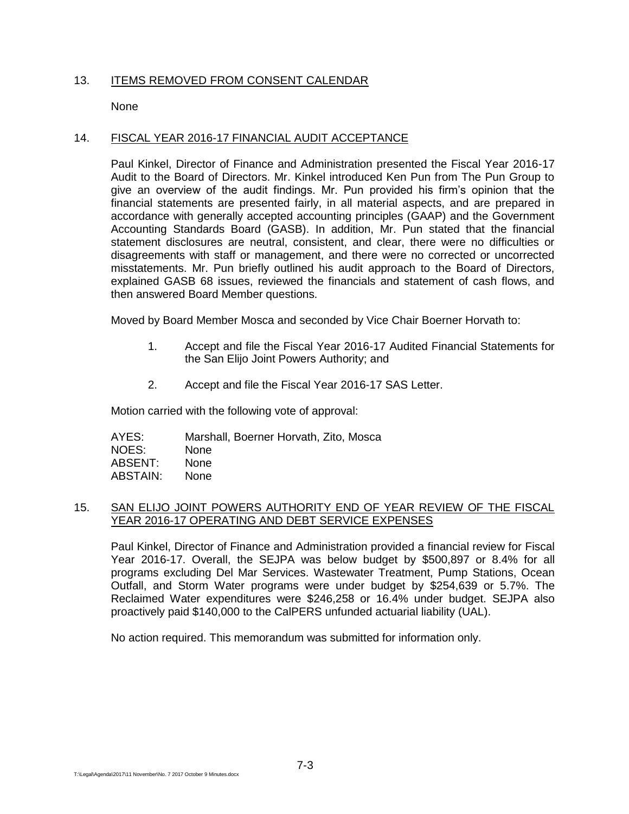# 13. ITEMS REMOVED FROM CONSENT CALENDAR

None

### 14. FISCAL YEAR 2016-17 FINANCIAL AUDIT ACCEPTANCE

Paul Kinkel, Director of Finance and Administration presented the Fiscal Year 2016-17 Audit to the Board of Directors. Mr. Kinkel introduced Ken Pun from The Pun Group to give an overview of the audit findings. Mr. Pun provided his firm's opinion that the financial statements are presented fairly, in all material aspects, and are prepared in accordance with generally accepted accounting principles (GAAP) and the Government Accounting Standards Board (GASB). In addition, Mr. Pun stated that the financial statement disclosures are neutral, consistent, and clear, there were no difficulties or disagreements with staff or management, and there were no corrected or uncorrected misstatements. Mr. Pun briefly outlined his audit approach to the Board of Directors, explained GASB 68 issues, reviewed the financials and statement of cash flows, and then answered Board Member questions.

Moved by Board Member Mosca and seconded by Vice Chair Boerner Horvath to:

- 1. Accept and file the Fiscal Year 2016-17 Audited Financial Statements for the San Elijo Joint Powers Authority; and
- 2. Accept and file the Fiscal Year 2016-17 SAS Letter.

Motion carried with the following vote of approval:

AYES: Marshall, Boerner Horvath, Zito, Mosca NOES: None ABSENT: None ABSTAIN: None

## 15. SAN ELIJO JOINT POWERS AUTHORITY END OF YEAR REVIEW OF THE FISCAL YEAR 2016-17 OPERATING AND DEBT SERVICE EXPENSES

Paul Kinkel, Director of Finance and Administration provided a financial review for Fiscal Year 2016-17. Overall, the SEJPA was below budget by \$500,897 or 8.4% for all programs excluding Del Mar Services. Wastewater Treatment, Pump Stations, Ocean Outfall, and Storm Water programs were under budget by \$254,639 or 5.7%. The Reclaimed Water expenditures were \$246,258 or 16.4% under budget. SEJPA also proactively paid \$140,000 to the CalPERS unfunded actuarial liability (UAL).

No action required. This memorandum was submitted for information only.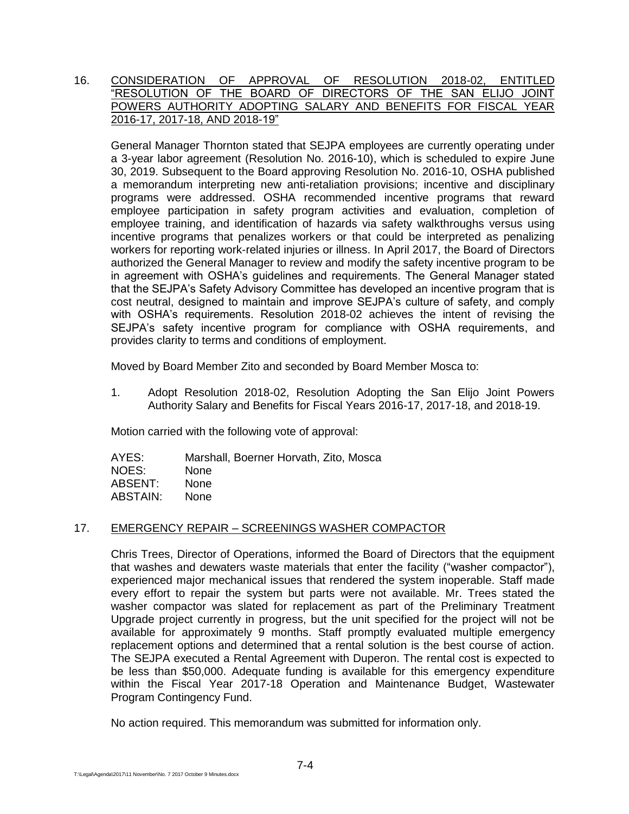# 16. CONSIDERATION OF APPROVAL OF RESOLUTION 2018-02, ENTITLED "RESOLUTION OF THE BOARD OF DIRECTORS OF THE SAN ELIJO JOINT POWERS AUTHORITY ADOPTING SALARY AND BENEFITS FOR FISCAL YEAR 2016-17, 2017-18, AND 2018-19"

General Manager Thornton stated that SEJPA employees are currently operating under a 3-year labor agreement (Resolution No. 2016-10), which is scheduled to expire June 30, 2019. Subsequent to the Board approving Resolution No. 2016-10, OSHA published a memorandum interpreting new anti-retaliation provisions; incentive and disciplinary programs were addressed. OSHA recommended incentive programs that reward employee participation in safety program activities and evaluation, completion of employee training, and identification of hazards via safety walkthroughs versus using incentive programs that penalizes workers or that could be interpreted as penalizing workers for reporting work-related injuries or illness. In April 2017, the Board of Directors authorized the General Manager to review and modify the safety incentive program to be in agreement with OSHA's guidelines and requirements. The General Manager stated that the SEJPA's Safety Advisory Committee has developed an incentive program that is cost neutral, designed to maintain and improve SEJPA's culture of safety, and comply with OSHA's requirements. Resolution 2018-02 achieves the intent of revising the SEJPA's safety incentive program for compliance with OSHA requirements, and provides clarity to terms and conditions of employment.

Moved by Board Member Zito and seconded by Board Member Mosca to:

1. Adopt Resolution 2018-02, Resolution Adopting the San Elijo Joint Powers Authority Salary and Benefits for Fiscal Years 2016-17, 2017-18, and 2018-19.

Motion carried with the following vote of approval:

AYES: Marshall, Boerner Horvath, Zito, Mosca NOES: None ABSENT: None ABSTAIN: None

# 17. EMERGENCY REPAIR – SCREENINGS WASHER COMPACTOR

Chris Trees, Director of Operations, informed the Board of Directors that the equipment that washes and dewaters waste materials that enter the facility ("washer compactor"), experienced major mechanical issues that rendered the system inoperable. Staff made every effort to repair the system but parts were not available. Mr. Trees stated the washer compactor was slated for replacement as part of the Preliminary Treatment Upgrade project currently in progress, but the unit specified for the project will not be available for approximately 9 months. Staff promptly evaluated multiple emergency replacement options and determined that a rental solution is the best course of action. The SEJPA executed a Rental Agreement with Duperon. The rental cost is expected to be less than \$50,000. Adequate funding is available for this emergency expenditure within the Fiscal Year 2017-18 Operation and Maintenance Budget, Wastewater Program Contingency Fund.

No action required. This memorandum was submitted for information only.